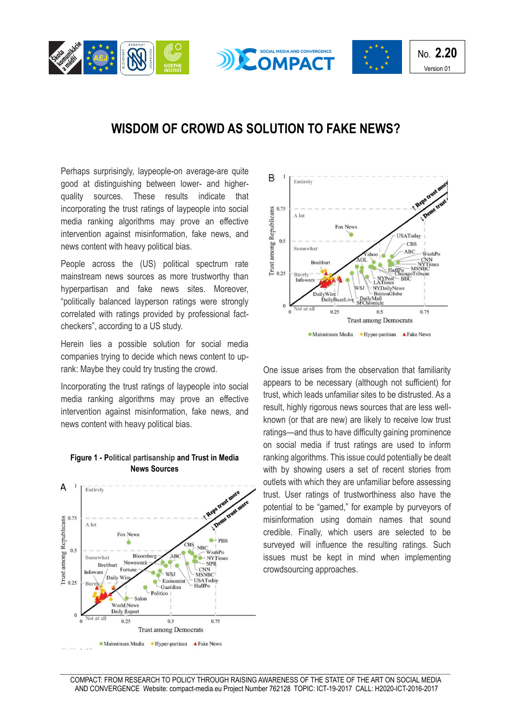





## **WISDOM OF CROWD AS SOLUTION TO FAKE NEWS?**

Perhaps surprisingly, laypeople-on average-are quite good at distinguishing between lower- and higherquality sources. These results indicate that incorporating the trust ratings of laypeople into social media ranking algorithms may prove an effective intervention against misinformation, fake news, and news content with heavy political bias.

People across the (US) political spectrum rate mainstream news sources as more trustworthy than hyperpartisan and fake news sites. Moreover, "politically balanced layperson ratings were strongly correlated with ratings provided by professional factcheckers", according to a US study.

Herein lies a possible solution for social media companies trying to decide which news content to uprank: Maybe they could try trusting the crowd.

Incorporating the trust ratings of laypeople into social media ranking algorithms may prove an effective intervention against misinformation, fake news, and news content with heavy political bias.



## **Figure 1 - Political partisanship and Trust in Media News Sources**



One issue arises from the observation that familiarity appears to be necessary (although not sufficient) for trust, which leads unfamiliar sites to be distrusted. As a result, highly rigorous news sources that are less wellknown (or that are new) are likely to receive low trust ratings—and thus to have difficulty gaining prominence on social media if trust ratings are used to inform ranking algorithms. This issue could potentially be dealt with by showing users a set of recent stories from outlets with which they are unfamiliar before assessing trust. User ratings of trustworthiness also have the potential to be "gamed," for example by purveyors of misinformation using domain names that sound credible. Finally, which users are selected to be surveyed will influence the resulting ratings. Such issues must be kept in mind when implementing crowdsourcing approaches.